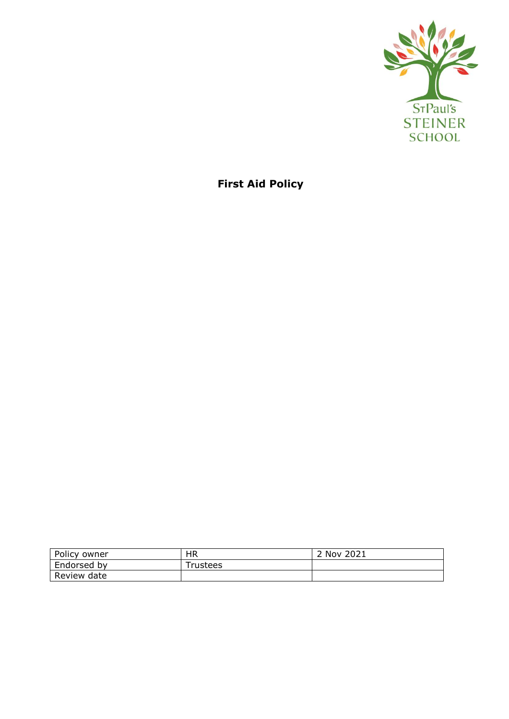

**First Aid Policy**

| Policy owner | HR       | 2 Nov 2021 |
|--------------|----------|------------|
| Endorsed by  | Trustees |            |
| Review date  |          |            |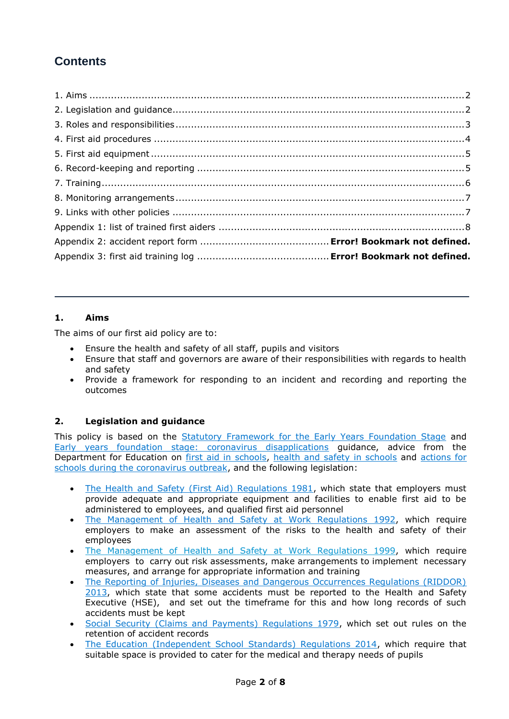# **Contents**

## **1. Aims**

The aims of our first aid policy are to:

- Ensure the health and safety of all staff, pupils and visitors
- Ensure that staff and governors are aware of their responsibilities with regards to health and safety
- Provide a framework for responding to an incident and recording and reporting the outcomes

## **2. Legislation and guidance**

This policy is based on the [Statutory Framework for the Early Years Foundation Stage](https://www.gov.uk/government/publications/early-years-foundation-stage-framework--2) and [Early years foundation stage: coronavirus disapplications](https://www.gov.uk/government/publications/early-years-foundation-stage-framework--2/early-years-foundation-stage-coronavirus-disapplications) guidance, advice from the Department for Education on [first aid in schools,](https://www.gov.uk/government/publications/first-aid-in-schools) [health and safety in schools](https://www.gov.uk/government/publications/health-and-safety-advice-for-schools) and [actions for](https://www.gov.uk/government/publications/actions-for-schools-during-the-coronavirus-outbreak)  [schools during the coronavirus outbreak,](https://www.gov.uk/government/publications/actions-for-schools-during-the-coronavirus-outbreak) and the following legislation:

- [The Health and Safety \(First Aid\) Regulations 1981,](http://www.legislation.gov.uk/uksi/1981/917/regulation/3/made) which state that employers must provide adequate and appropriate equipment and facilities to enable first aid to be administered to employees, and qualified first aid personnel
- [The Management of Health and Safety at Work Regulations 1992,](http://www.legislation.gov.uk/uksi/1992/2051/regulation/3/made) which require employers to make an assessment of the risks to the health and safety of their employees
- [The Management of Health and Safety at Work Regulations 1999,](http://www.legislation.gov.uk/uksi/1999/3242/contents/made) which require employers to carry out risk assessments, make arrangements to implement necessary measures, and arrange for appropriate information and training
- [The Reporting of Injuries, Diseases and Dangerous Occurrences Regulations \(RIDDOR\)](http://www.legislation.gov.uk/uksi/2013/1471/schedule/1/paragraph/1/made)  [2013,](http://www.legislation.gov.uk/uksi/2013/1471/schedule/1/paragraph/1/made) which state that some accidents must be reported to the Health and Safety Executive (HSE), and set out the timeframe for this and how long records of such accidents must be kept
- [Social Security \(Claims and Payments\) Regulations 1979,](http://www.legislation.gov.uk/uksi/1979/628) which set out rules on the retention of accident records
- [The Education \(Independent School Standards\) Regulations 2014,](http://www.legislation.gov.uk/uksi/2014/3283/schedule/made) which require that suitable space is provided to cater for the medical and therapy needs of pupils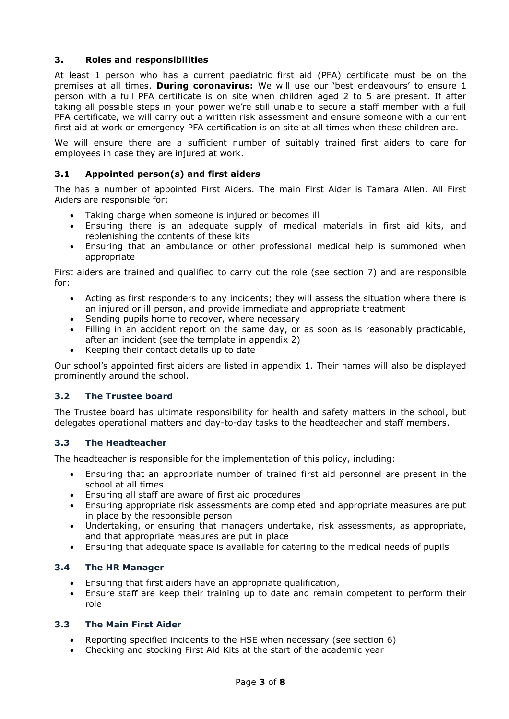## **3. Roles and responsibilities**

At least 1 person who has a current paediatric first aid (PFA) certificate must be on the premises at all times. **During coronavirus:** We will use our 'best endeavours' to ensure 1 person with a full PFA certificate is on site when children aged 2 to 5 are present. If after taking all possible steps in your power we're still unable to secure a staff member with a full PFA certificate, we will carry out a written risk assessment and ensure someone with a current first aid at work or emergency PFA certification is on site at all times when these children are.

We will ensure there are a sufficient number of suitably trained first aiders to care for employees in case they are injured at work.

## **3.1 Appointed person(s) and first aiders**

The has a number of appointed First Aiders. The main First Aider is Tamara Allen. All First Aiders are responsible for:

- Taking charge when someone is injured or becomes ill
- Ensuring there is an adequate supply of medical materials in first aid kits, and replenishing the contents of these kits
- Ensuring that an ambulance or other professional medical help is summoned when appropriate

First aiders are trained and qualified to carry out the role (see section 7) and are responsible for:

- Acting as first responders to any incidents; they will assess the situation where there is an injured or ill person, and provide immediate and appropriate treatment
- Sending pupils home to recover, where necessary
- Filling in an accident report on the same day, or as soon as is reasonably practicable, after an incident (see the template in appendix 2)
- Keeping their contact details up to date

Our school's appointed first aiders are listed in appendix 1. Their names will also be displayed prominently around the school.

#### **3.2 The Trustee board**

The Trustee board has ultimate responsibility for health and safety matters in the school, but delegates operational matters and day-to-day tasks to the headteacher and staff members.

#### **3.3 The Headteacher**

The headteacher is responsible for the implementation of this policy, including:

- Ensuring that an appropriate number of trained first aid personnel are present in the school at all times
- Ensuring all staff are aware of first aid procedures
- Ensuring appropriate risk assessments are completed and appropriate measures are put in place by the responsible person
- Undertaking, or ensuring that managers undertake, risk assessments, as appropriate, and that appropriate measures are put in place
- Ensuring that adequate space is available for catering to the medical needs of pupils

#### **3.4 The HR Manager**

- Ensuring that first aiders have an appropriate qualification,
- Ensure staff are keep their training up to date and remain competent to perform their role

#### **3.3 The Main First Aider**

- Reporting specified incidents to the HSE when necessary (see section 6)
- Checking and stocking First Aid Kits at the start of the academic year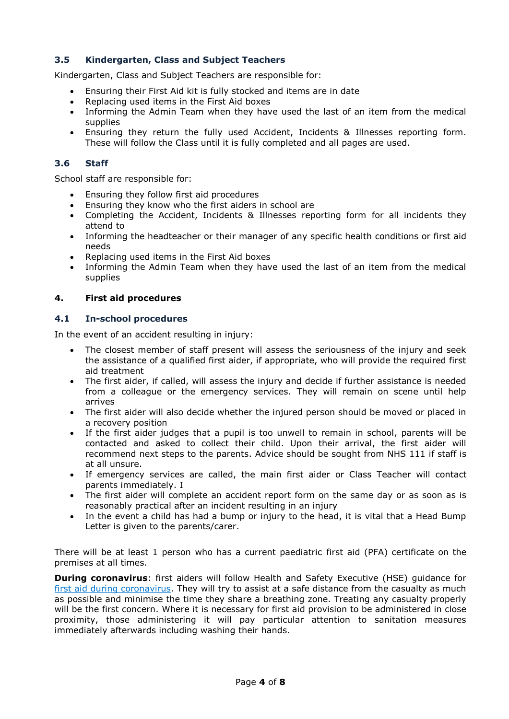## **3.5 Kindergarten, Class and Subject Teachers**

Kindergarten, Class and Subject Teachers are responsible for:

- Ensuring their First Aid kit is fully stocked and items are in date
- Replacing used items in the First Aid boxes
- Informing the Admin Team when they have used the last of an item from the medical supplies
- Ensuring they return the fully used Accident, Incidents & Illnesses reporting form. These will follow the Class until it is fully completed and all pages are used.

#### **3.6 Staff**

School staff are responsible for:

- Ensuring they follow first aid procedures
- Ensuring they know who the first aiders in school are
- Completing the Accident, Incidents & Illnesses reporting form for all incidents they attend to
- Informing the headteacher or their manager of any specific health conditions or first aid needs
- Replacing used items in the First Aid boxes
- Informing the Admin Team when they have used the last of an item from the medical supplies

#### **4. First aid procedures**

#### **4.1 In-school procedures**

In the event of an accident resulting in injury:

- The closest member of staff present will assess the seriousness of the injury and seek the assistance of a qualified first aider, if appropriate, who will provide the required first aid treatment
- The first aider, if called, will assess the injury and decide if further assistance is needed from a colleague or the emergency services. They will remain on scene until help arrives
- The first aider will also decide whether the injured person should be moved or placed in a recovery position
- If the first aider judges that a pupil is too unwell to remain in school, parents will be contacted and asked to collect their child. Upon their arrival, the first aider will recommend next steps to the parents. Advice should be sought from NHS 111 if staff is at all unsure.
- If emergency services are called, the main first aider or Class Teacher will contact parents immediately. I
- The first aider will complete an accident report form on the same day or as soon as is reasonably practical after an incident resulting in an injury
- In the event a child has had a bump or injury to the head, it is vital that a Head Bump Letter is given to the parents/carer.

There will be at least 1 person who has a current paediatric first aid (PFA) certificate on the premises at all times.

**During coronavirus**: first aiders will follow Health and Safety Executive (HSE) guidance for [first aid during coronavirus.](https://www.hse.gov.uk/coronavirus/first-aid-and-medicals/first-aid-certificate-coronavirus.htm) They will try to assist at a safe distance from the casualty as much as possible and minimise the time they share a breathing zone. Treating any casualty properly will be the first concern. Where it is necessary for first aid provision to be administered in close proximity, those administering it will pay particular attention to sanitation measures immediately afterwards including washing their hands.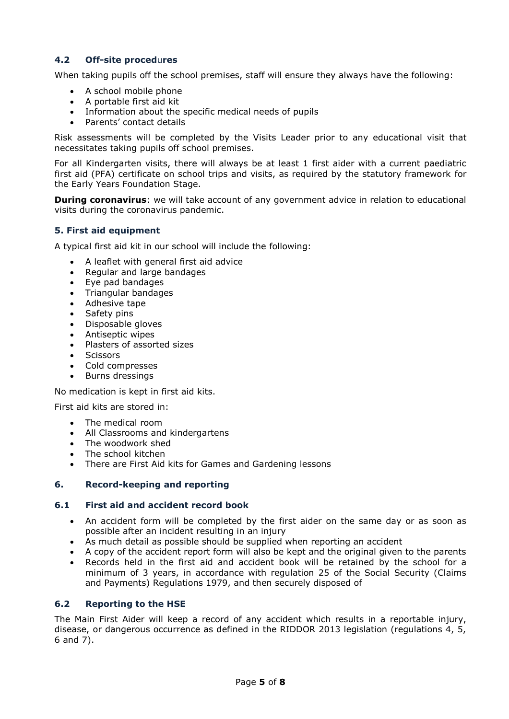## **4.2 Off-site proced**u**res**

When taking pupils off the school premises, staff will ensure they always have the following:

- A school mobile phone
- A portable first aid kit
- Information about the specific medical needs of pupils
- Parents' contact details

Risk assessments will be completed by the Visits Leader prior to any educational visit that necessitates taking pupils off school premises.

For all Kindergarten visits, there will always be at least 1 first aider with a current paediatric first aid (PFA) certificate on school trips and visits, as required by the statutory framework for the Early Years Foundation Stage.

**During coronavirus**: we will take account of any government advice in relation to educational visits during the coronavirus pandemic.

#### **5. First aid equipment**

A typical first aid kit in our school will include the following:

- A leaflet with general first aid advice
- Regular and large bandages
- Eye pad bandages
- Triangular bandages
- Adhesive tape
- Safety pins
- Disposable gloves
- Antiseptic wipes
- Plasters of assorted sizes
- Scissors
- Cold compresses
- Burns dressings

No medication is kept in first aid kits.

First aid kits are stored in:

- The medical room
- All Classrooms and kindergartens
- The woodwork shed
- The school kitchen
- There are First Aid kits for Games and Gardening lessons

#### **6. Record-keeping and reporting**

#### **6.1 First aid and accident record book**

- An accident form will be completed by the first aider on the same day or as soon as possible after an incident resulting in an injury
- As much detail as possible should be supplied when reporting an accident
- A copy of the accident report form will also be kept and the original given to the parents
- Records held in the first aid and accident book will be retained by the school for a minimum of 3 years, in accordance with regulation 25 of the Social Security (Claims and Payments) Regulations 1979, and then securely disposed of

#### **6.2 Reporting to the HSE**

The Main First Aider will keep a record of any accident which results in a reportable injury, disease, or dangerous occurrence as defined in the RIDDOR 2013 legislation (regulations 4, 5, 6 and 7).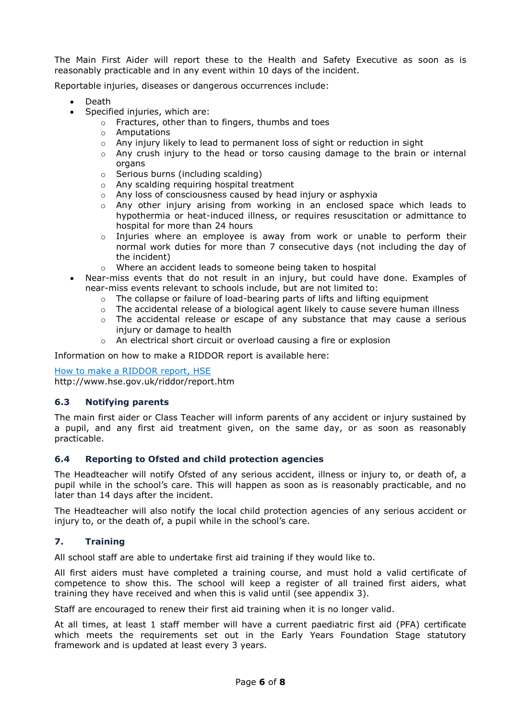The Main First Aider will report these to the Health and Safety Executive as soon as is reasonably practicable and in any event within 10 days of the incident.

Reportable injuries, diseases or dangerous occurrences include:

- Death
- Specified injuries, which are:
	- o Fractures, other than to fingers, thumbs and toes
	- o Amputations
	- $\circ$  Any injury likely to lead to permanent loss of sight or reduction in sight
	- $\circ$  Any crush injury to the head or torso causing damage to the brain or internal organs
	- o Serious burns (including scalding)
	- o Any scalding requiring hospital treatment
	- o Any loss of consciousness caused by head injury or asphyxia
	- $\circ$  Any other injury arising from working in an enclosed space which leads to hypothermia or heat-induced illness, or requires resuscitation or admittance to hospital for more than 24 hours
	- $\circ$  Injuries where an employee is away from work or unable to perform their normal work duties for more than 7 consecutive days (not including the day of the incident)
	- o Where an accident leads to someone being taken to hospital
- Near-miss events that do not result in an injury, but could have done. Examples of near-miss events relevant to schools include, but are not limited to:
	- o The collapse or failure of load-bearing parts of lifts and lifting equipment
	- $\circ$  The accidental release of a biological agent likely to cause severe human illness
	- $\circ$  The accidental release or escape of any substance that may cause a serious injury or damage to health
	- $\circ$  An electrical short circuit or overload causing a fire or explosion

Information on how to make a RIDDOR report is available here:

[How to make a RIDDOR report, HSE](http://www.hse.gov.uk/riddor/report.htm)

http://www.hse.gov.uk/riddor/report.htm

#### **6.3 Notifying parents**

The main first aider or Class Teacher will inform parents of any accident or injury sustained by a pupil, and any first aid treatment given, on the same day, or as soon as reasonably practicable.

#### **6.4 Reporting to Ofsted and child protection agencies**

The Headteacher will notify Ofsted of any serious accident, illness or injury to, or death of, a pupil while in the school's care. This will happen as soon as is reasonably practicable, and no later than 14 days after the incident.

The Headteacher will also notify the local child protection agencies of any serious accident or injury to, or the death of, a pupil while in the school's care.

#### **7. Training**

All school staff are able to undertake first aid training if they would like to.

All first aiders must have completed a training course, and must hold a valid certificate of competence to show this. The school will keep a register of all trained first aiders, what training they have received and when this is valid until (see appendix 3).

Staff are encouraged to renew their first aid training when it is no longer valid.

At all times, at least 1 staff member will have a current paediatric first aid (PFA) certificate which meets the requirements set out in the Early Years Foundation Stage statutory framework and is updated at least every 3 years.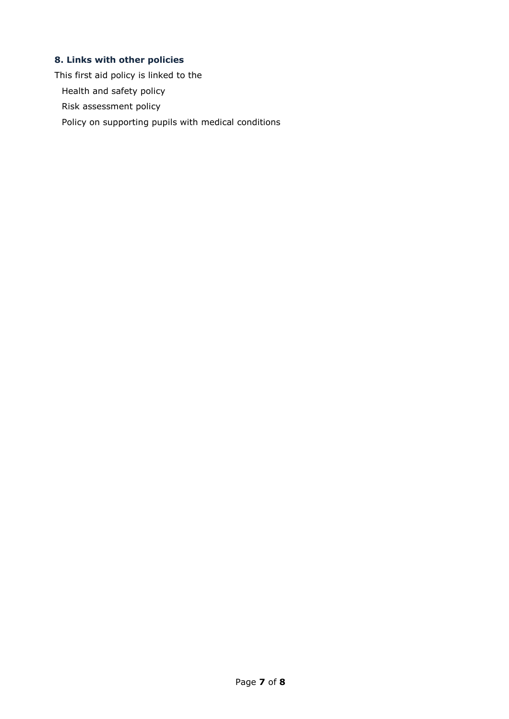## **8. Links with other policies**

This first aid policy is linked to the

Health and safety policy

Risk assessment policy

Policy on supporting pupils with medical conditions